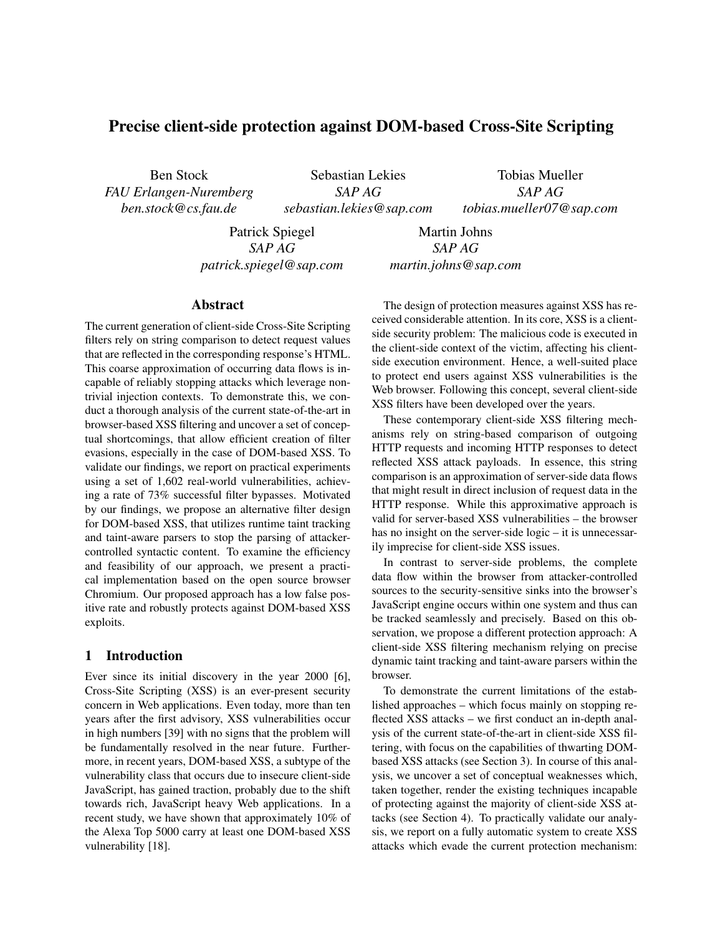# Precise client-side protection against DOM-based Cross-Site Scripting

Ben Stock *FAU Erlangen-Nuremberg ben.stock@cs.fau.de*

Sebastian Lekies *SAP AG sebastian.lekies@sap.com*

Tobias Mueller *SAP AG tobias.mueller07@sap.com*

Patrick Spiegel *SAP AG patrick.spiegel@sap.com*

Martin Johns *SAP AG martin.johns@sap.com*

## Abstract

The current generation of client-side Cross-Site Scripting filters rely on string comparison to detect request values that are reflected in the corresponding response's HTML. This coarse approximation of occurring data flows is incapable of reliably stopping attacks which leverage nontrivial injection contexts. To demonstrate this, we conduct a thorough analysis of the current state-of-the-art in browser-based XSS filtering and uncover a set of conceptual shortcomings, that allow efficient creation of filter evasions, especially in the case of DOM-based XSS. To validate our findings, we report on practical experiments using a set of 1,602 real-world vulnerabilities, achieving a rate of 73% successful filter bypasses. Motivated by our findings, we propose an alternative filter design for DOM-based XSS, that utilizes runtime taint tracking and taint-aware parsers to stop the parsing of attackercontrolled syntactic content. To examine the efficiency and feasibility of our approach, we present a practical implementation based on the open source browser Chromium. Our proposed approach has a low false positive rate and robustly protects against DOM-based XSS exploits.

## 1 Introduction

Ever since its initial discovery in the year 2000 [6], Cross-Site Scripting (XSS) is an ever-present security concern in Web applications. Even today, more than ten years after the first advisory, XSS vulnerabilities occur in high numbers [39] with no signs that the problem will be fundamentally resolved in the near future. Furthermore, in recent years, DOM-based XSS, a subtype of the vulnerability class that occurs due to insecure client-side JavaScript, has gained traction, probably due to the shift towards rich, JavaScript heavy Web applications. In a recent study, we have shown that approximately 10% of the Alexa Top 5000 carry at least one DOM-based XSS vulnerability [18].

The design of protection measures against XSS has received considerable attention. In its core, XSS is a clientside security problem: The malicious code is executed in the client-side context of the victim, affecting his clientside execution environment. Hence, a well-suited place to protect end users against XSS vulnerabilities is the Web browser. Following this concept, several client-side XSS filters have been developed over the years.

These contemporary client-side XSS filtering mechanisms rely on string-based comparison of outgoing HTTP requests and incoming HTTP responses to detect reflected XSS attack payloads. In essence, this string comparison is an approximation of server-side data flows that might result in direct inclusion of request data in the HTTP response. While this approximative approach is valid for server-based XSS vulnerabilities – the browser has no insight on the server-side logic – it is unnecessarily imprecise for client-side XSS issues.

In contrast to server-side problems, the complete data flow within the browser from attacker-controlled sources to the security-sensitive sinks into the browser's JavaScript engine occurs within one system and thus can be tracked seamlessly and precisely. Based on this observation, we propose a different protection approach: A client-side XSS filtering mechanism relying on precise dynamic taint tracking and taint-aware parsers within the browser.

To demonstrate the current limitations of the established approaches – which focus mainly on stopping reflected XSS attacks – we first conduct an in-depth analysis of the current state-of-the-art in client-side XSS filtering, with focus on the capabilities of thwarting DOMbased XSS attacks (see Section 3). In course of this analysis, we uncover a set of conceptual weaknesses which, taken together, render the existing techniques incapable of protecting against the majority of client-side XSS attacks (see Section 4). To practically validate our analysis, we report on a fully automatic system to create XSS attacks which evade the current protection mechanism: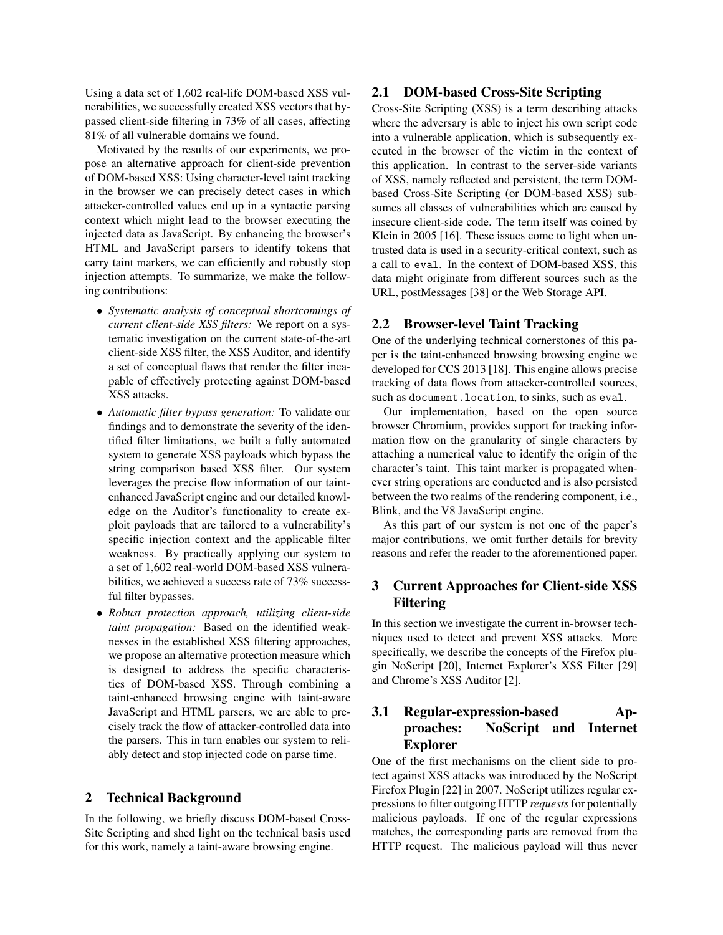Using a data set of 1,602 real-life DOM-based XSS vulnerabilities, we successfully created XSS vectors that bypassed client-side filtering in 73% of all cases, affecting 81% of all vulnerable domains we found.

Motivated by the results of our experiments, we propose an alternative approach for client-side prevention of DOM-based XSS: Using character-level taint tracking in the browser we can precisely detect cases in which attacker-controlled values end up in a syntactic parsing context which might lead to the browser executing the injected data as JavaScript. By enhancing the browser's HTML and JavaScript parsers to identify tokens that carry taint markers, we can efficiently and robustly stop injection attempts. To summarize, we make the following contributions:

- *Systematic analysis of conceptual shortcomings of current client-side XSS filters:* We report on a systematic investigation on the current state-of-the-art client-side XSS filter, the XSS Auditor, and identify a set of conceptual flaws that render the filter incapable of effectively protecting against DOM-based XSS attacks.
- *Automatic filter bypass generation:* To validate our findings and to demonstrate the severity of the identified filter limitations, we built a fully automated system to generate XSS payloads which bypass the string comparison based XSS filter. Our system leverages the precise flow information of our taintenhanced JavaScript engine and our detailed knowledge on the Auditor's functionality to create exploit payloads that are tailored to a vulnerability's specific injection context and the applicable filter weakness. By practically applying our system to a set of 1,602 real-world DOM-based XSS vulnerabilities, we achieved a success rate of 73% successful filter bypasses.
- *Robust protection approach, utilizing client-side taint propagation:* Based on the identified weaknesses in the established XSS filtering approaches, we propose an alternative protection measure which is designed to address the specific characteristics of DOM-based XSS. Through combining a taint-enhanced browsing engine with taint-aware JavaScript and HTML parsers, we are able to precisely track the flow of attacker-controlled data into the parsers. This in turn enables our system to reliably detect and stop injected code on parse time.

### 2 Technical Background

In the following, we briefly discuss DOM-based Cross-Site Scripting and shed light on the technical basis used for this work, namely a taint-aware browsing engine.

## 2.1 DOM-based Cross-Site Scripting

Cross-Site Scripting (XSS) is a term describing attacks where the adversary is able to inject his own script code into a vulnerable application, which is subsequently executed in the browser of the victim in the context of this application. In contrast to the server-side variants of XSS, namely reflected and persistent, the term DOMbased Cross-Site Scripting (or DOM-based XSS) subsumes all classes of vulnerabilities which are caused by insecure client-side code. The term itself was coined by Klein in 2005 [16]. These issues come to light when untrusted data is used in a security-critical context, such as a call to eval. In the context of DOM-based XSS, this data might originate from different sources such as the URL, postMessages [38] or the Web Storage API.

## 2.2 Browser-level Taint Tracking

One of the underlying technical cornerstones of this paper is the taint-enhanced browsing browsing engine we developed for CCS 2013 [18]. This engine allows precise tracking of data flows from attacker-controlled sources, such as document.location, to sinks, such as eval.

Our implementation, based on the open source browser Chromium, provides support for tracking information flow on the granularity of single characters by attaching a numerical value to identify the origin of the character's taint. This taint marker is propagated whenever string operations are conducted and is also persisted between the two realms of the rendering component, i.e., Blink, and the V8 JavaScript engine.

As this part of our system is not one of the paper's major contributions, we omit further details for brevity reasons and refer the reader to the aforementioned paper.

# 3 Current Approaches for Client-side XSS Filtering

In this section we investigate the current in-browser techniques used to detect and prevent XSS attacks. More specifically, we describe the concepts of the Firefox plugin NoScript [20], Internet Explorer's XSS Filter [29] and Chrome's XSS Auditor [2].

# 3.1 Regular-expression-based Approaches: NoScript and Internet Explorer

One of the first mechanisms on the client side to protect against XSS attacks was introduced by the NoScript Firefox Plugin [22] in 2007. NoScript utilizes regular expressions to filter outgoing HTTP *requests* for potentially malicious payloads. If one of the regular expressions matches, the corresponding parts are removed from the HTTP request. The malicious payload will thus never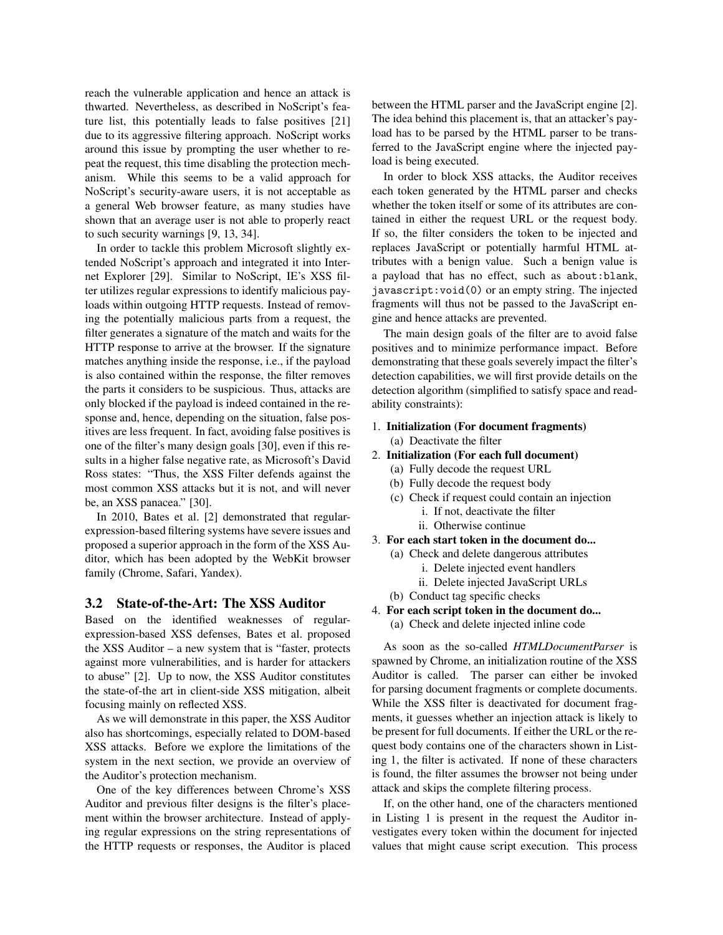reach the vulnerable application and hence an attack is thwarted. Nevertheless, as described in NoScript's feature list, this potentially leads to false positives [21] due to its aggressive filtering approach. NoScript works around this issue by prompting the user whether to repeat the request, this time disabling the protection mechanism. While this seems to be a valid approach for NoScript's security-aware users, it is not acceptable as a general Web browser feature, as many studies have shown that an average user is not able to properly react to such security warnings [9, 13, 34].

In order to tackle this problem Microsoft slightly extended NoScript's approach and integrated it into Internet Explorer [29]. Similar to NoScript, IE's XSS filter utilizes regular expressions to identify malicious payloads within outgoing HTTP requests. Instead of removing the potentially malicious parts from a request, the filter generates a signature of the match and waits for the HTTP response to arrive at the browser. If the signature matches anything inside the response, i.e., if the payload is also contained within the response, the filter removes the parts it considers to be suspicious. Thus, attacks are only blocked if the payload is indeed contained in the response and, hence, depending on the situation, false positives are less frequent. In fact, avoiding false positives is one of the filter's many design goals [30], even if this results in a higher false negative rate, as Microsoft's David Ross states: "Thus, the XSS Filter defends against the most common XSS attacks but it is not, and will never be, an XSS panacea." [30].

In 2010, Bates et al. [2] demonstrated that regularexpression-based filtering systems have severe issues and proposed a superior approach in the form of the XSS Auditor, which has been adopted by the WebKit browser family (Chrome, Safari, Yandex).

# 3.2 State-of-the-Art: The XSS Auditor

Based on the identified weaknesses of regularexpression-based XSS defenses, Bates et al. proposed the XSS Auditor – a new system that is "faster, protects against more vulnerabilities, and is harder for attackers to abuse" [2]. Up to now, the XSS Auditor constitutes the state-of-the art in client-side XSS mitigation, albeit focusing mainly on reflected XSS.

As we will demonstrate in this paper, the XSS Auditor also has shortcomings, especially related to DOM-based XSS attacks. Before we explore the limitations of the system in the next section, we provide an overview of the Auditor's protection mechanism.

One of the key differences between Chrome's XSS Auditor and previous filter designs is the filter's placement within the browser architecture. Instead of applying regular expressions on the string representations of the HTTP requests or responses, the Auditor is placed between the HTML parser and the JavaScript engine [2]. The idea behind this placement is, that an attacker's payload has to be parsed by the HTML parser to be transferred to the JavaScript engine where the injected payload is being executed.

In order to block XSS attacks, the Auditor receives each token generated by the HTML parser and checks whether the token itself or some of its attributes are contained in either the request URL or the request body. If so, the filter considers the token to be injected and replaces JavaScript or potentially harmful HTML attributes with a benign value. Such a benign value is a payload that has no effect, such as about:blank, javascript:void(0) or an empty string. The injected fragments will thus not be passed to the JavaScript engine and hence attacks are prevented.

The main design goals of the filter are to avoid false positives and to minimize performance impact. Before demonstrating that these goals severely impact the filter's detection capabilities, we will first provide details on the detection algorithm (simplified to satisfy space and readability constraints):

- 1. Initialization (For document fragments) (a) Deactivate the filter
- 2. Initialization (For each full document)
	- (a) Fully decode the request URL
	- (b) Fully decode the request body
	- (c) Check if request could contain an injection
		- i. If not, deactivate the filter
		- ii. Otherwise continue
- 3. For each start token in the document do...
	- (a) Check and delete dangerous attributes
		- i. Delete injected event handlers
		- ii. Delete injected JavaScript URLs
	- (b) Conduct tag specific checks
- 4. For each script token in the document do...
	- (a) Check and delete injected inline code

As soon as the so-called *HTMLDocumentParser* is spawned by Chrome, an initialization routine of the XSS Auditor is called. The parser can either be invoked for parsing document fragments or complete documents. While the XSS filter is deactivated for document fragments, it guesses whether an injection attack is likely to be present for full documents. If either the URL or the request body contains one of the characters shown in Listing 1, the filter is activated. If none of these characters is found, the filter assumes the browser not being under attack and skips the complete filtering process.

If, on the other hand, one of the characters mentioned in Listing 1 is present in the request the Auditor investigates every token within the document for injected values that might cause script execution. This process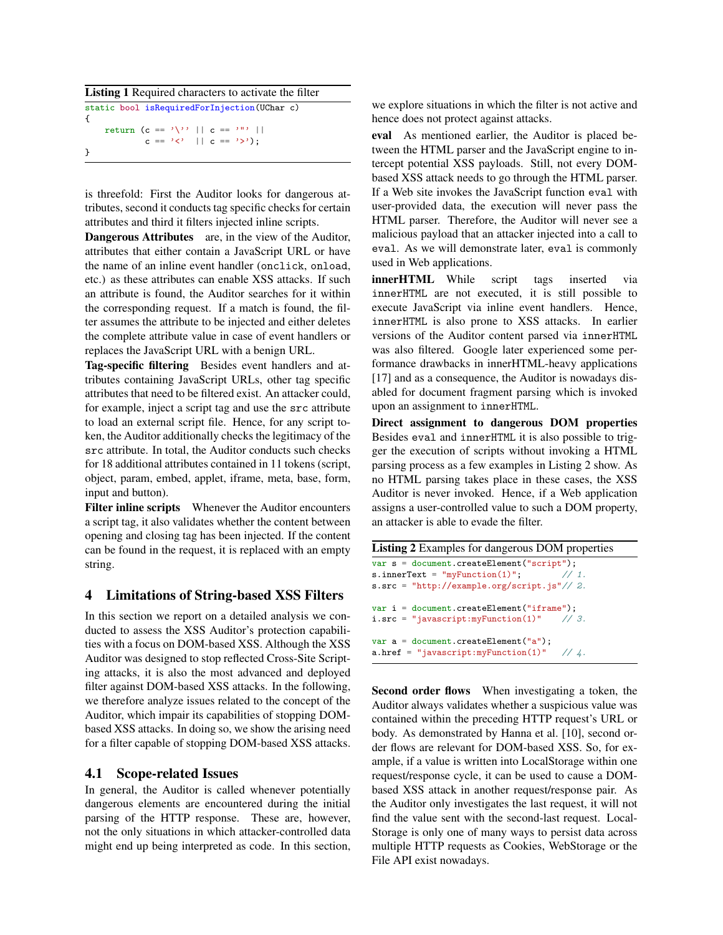Listing 1 Required characters to activate the filter static bool isRequiredForInjection(UChar c)

```
{
     return (c == \sqrt{?} | | c == \sqrt{?} |)c == ' \langle ' \mid c == ' \rangle;
}
```
is threefold: First the Auditor looks for dangerous attributes, second it conducts tag specific checks for certain attributes and third it filters injected inline scripts.

Dangerous Attributes are, in the view of the Auditor, attributes that either contain a JavaScript URL or have the name of an inline event handler (onclick, onload, etc.) as these attributes can enable XSS attacks. If such an attribute is found, the Auditor searches for it within the corresponding request. If a match is found, the filter assumes the attribute to be injected and either deletes the complete attribute value in case of event handlers or replaces the JavaScript URL with a benign URL.

Tag-specific filtering Besides event handlers and attributes containing JavaScript URLs, other tag specific attributes that need to be filtered exist. An attacker could, for example, inject a script tag and use the src attribute to load an external script file. Hence, for any script token, the Auditor additionally checks the legitimacy of the src attribute. In total, the Auditor conducts such checks for 18 additional attributes contained in 11 tokens (script, object, param, embed, applet, iframe, meta, base, form, input and button).

Filter inline scripts Whenever the Auditor encounters a script tag, it also validates whether the content between opening and closing tag has been injected. If the content can be found in the request, it is replaced with an empty string.

## 4 Limitations of String-based XSS Filters

In this section we report on a detailed analysis we conducted to assess the XSS Auditor's protection capabilities with a focus on DOM-based XSS. Although the XSS Auditor was designed to stop reflected Cross-Site Scripting attacks, it is also the most advanced and deployed filter against DOM-based XSS attacks. In the following, we therefore analyze issues related to the concept of the Auditor, which impair its capabilities of stopping DOMbased XSS attacks. In doing so, we show the arising need for a filter capable of stopping DOM-based XSS attacks.

# 4.1 Scope-related Issues

In general, the Auditor is called whenever potentially dangerous elements are encountered during the initial parsing of the HTTP response. These are, however, not the only situations in which attacker-controlled data might end up being interpreted as code. In this section, we explore situations in which the filter is not active and hence does not protect against attacks.

eval As mentioned earlier, the Auditor is placed between the HTML parser and the JavaScript engine to intercept potential XSS payloads. Still, not every DOMbased XSS attack needs to go through the HTML parser. If a Web site invokes the JavaScript function eval with user-provided data, the execution will never pass the HTML parser. Therefore, the Auditor will never see a malicious payload that an attacker injected into a call to eval. As we will demonstrate later, eval is commonly used in Web applications.

innerHTML While script tags inserted via innerHTML are not executed, it is still possible to execute JavaScript via inline event handlers. Hence, innerHTML is also prone to XSS attacks. In earlier versions of the Auditor content parsed via innerHTML was also filtered. Google later experienced some performance drawbacks in innerHTML-heavy applications [17] and as a consequence, the Auditor is nowadays disabled for document fragment parsing which is invoked upon an assignment to innerHTML.

Direct assignment to dangerous DOM properties Besides eval and innerHTML it is also possible to trigger the execution of scripts without invoking a HTML parsing process as a few examples in Listing 2 show. As no HTML parsing takes place in these cases, the XSS Auditor is never invoked. Hence, if a Web application assigns a user-controlled value to such a DOM property, an attacker is able to evade the filter.

```
Listing 2 Examples for dangerous DOM properties
var s = document.createElement("script");
s.innerText = "myFunction(1)"; \frac{1}{1}.
s.src = "http://example.org/script.js"// 2.
var i = document.createElement("iframe");
i.src = "javascript:myFunction(1)" \frac{1}{3}.
var a = document.createElement("a");
a.href = "javascript:myFunction(1)" // 4.
```
Second order flows When investigating a token, the Auditor always validates whether a suspicious value was contained within the preceding HTTP request's URL or body. As demonstrated by Hanna et al. [10], second order flows are relevant for DOM-based XSS. So, for example, if a value is written into LocalStorage within one request/response cycle, it can be used to cause a DOMbased XSS attack in another request/response pair. As the Auditor only investigates the last request, it will not find the value sent with the second-last request. Local-Storage is only one of many ways to persist data across multiple HTTP requests as Cookies, WebStorage or the File API exist nowadays.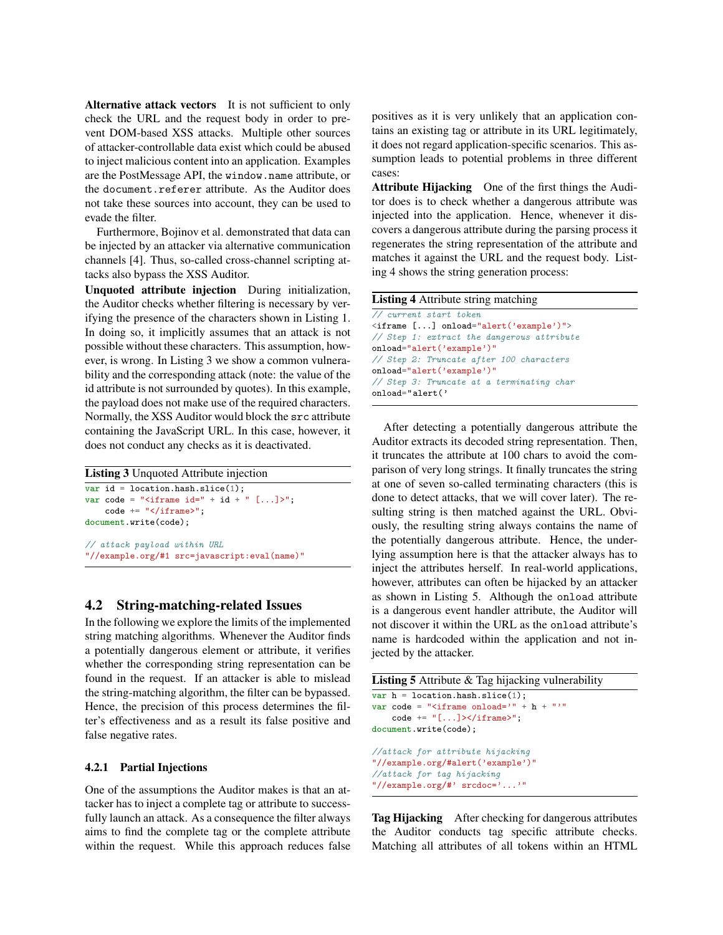Alternative attack vectors It is not sufficient to only check the URL and the request body in order to prevent DOM-based XSS attacks. Multiple other sources of attacker-controllable data exist which could be abused to inject malicious content into an application. Examples are the PostMessage API, the window.name attribute, or the document.referer attribute. As the Auditor does not take these sources into account, they can be used to evade the filter.

Furthermore, Bojinov et al. demonstrated that data can be injected by an attacker via alternative communication channels [4]. Thus, so-called cross-channel scripting attacks also bypass the XSS Auditor.

Unquoted attribute injection During initialization, the Auditor checks whether filtering is necessary by verifying the presence of the characters shown in Listing 1. In doing so, it implicitly assumes that an attack is not possible without these characters. This assumption, however, is wrong. In Listing 3 we show a common vulnerability and the corresponding attack (note: the value of the id attribute is not surrounded by quotes). In this example, the payload does not make use of the required characters. Normally, the XSS Auditor would block the src attribute containing the JavaScript URL. In this case, however, it does not conduct any checks as it is deactivated.

### Listing 3 Unquoted Attribute injection

```
var id = location.hash.slice(1);
var code = "\langleiframe id=" + id + " [...]>";
    code += "\langle /ifname \rangle";
document.write(code);
// attack payload within URL
"//example.org/#1 src=javascript:eval(name)"
```
### 4.2 String-matching-related Issues

In the following we explore the limits of the implemented string matching algorithms. Whenever the Auditor finds a potentially dangerous element or attribute, it verifies whether the corresponding string representation can be found in the request. If an attacker is able to mislead the string-matching algorithm, the filter can be bypassed. Hence, the precision of this process determines the filter's effectiveness and as a result its false positive and false negative rates.

### 4.2.1 Partial Injections

One of the assumptions the Auditor makes is that an attacker has to inject a complete tag or attribute to successfully launch an attack. As a consequence the filter always aims to find the complete tag or the complete attribute within the request. While this approach reduces false positives as it is very unlikely that an application contains an existing tag or attribute in its URL legitimately, it does not regard application-specific scenarios. This assumption leads to potential problems in three different cases:

Attribute Hijacking One of the first things the Auditor does is to check whether a dangerous attribute was injected into the application. Hence, whenever it discovers a dangerous attribute during the parsing process it regenerates the string representation of the attribute and matches it against the URL and the request body. Listing 4 shows the string generation process:

Listing 4 Attribute string matching // current start token <iframe [...] onload="alert('example')"> // Step 1: extract the dangerous attribute onload="alert('example')" // Step 2: Truncate after 100 characters onload="alert('example')" // Step 3: Truncate at a terminating char onload="alert('

After detecting a potentially dangerous attribute the Auditor extracts its decoded string representation. Then, it truncates the attribute at 100 chars to avoid the comparison of very long strings. It finally truncates the string at one of seven so-called terminating characters (this is done to detect attacks, that we will cover later). The resulting string is then matched against the URL. Obviously, the resulting string always contains the name of the potentially dangerous attribute. Hence, the underlying assumption here is that the attacker always has to inject the attributes herself. In real-world applications, however, attributes can often be hijacked by an attacker as shown in Listing 5. Although the onload attribute is a dangerous event handler attribute, the Auditor will not discover it within the URL as the onload attribute's name is hardcoded within the application and not injected by the attacker.

```
Listing 5 Attribute & Tag hijacking vulnerability
var h = location.hash.slice(1);var code = "\langleiframe onload='" + h + "'"
    code += "\[...]>>/ifname>";document.write(code);
//attack for attribute hijacking
"//example.org/#alert('example')"
//attack for tag hijacking
"//example.org/#' srcdoc='...'"
```
Tag Hijacking After checking for dangerous attributes the Auditor conducts tag specific attribute checks. Matching all attributes of all tokens within an HTML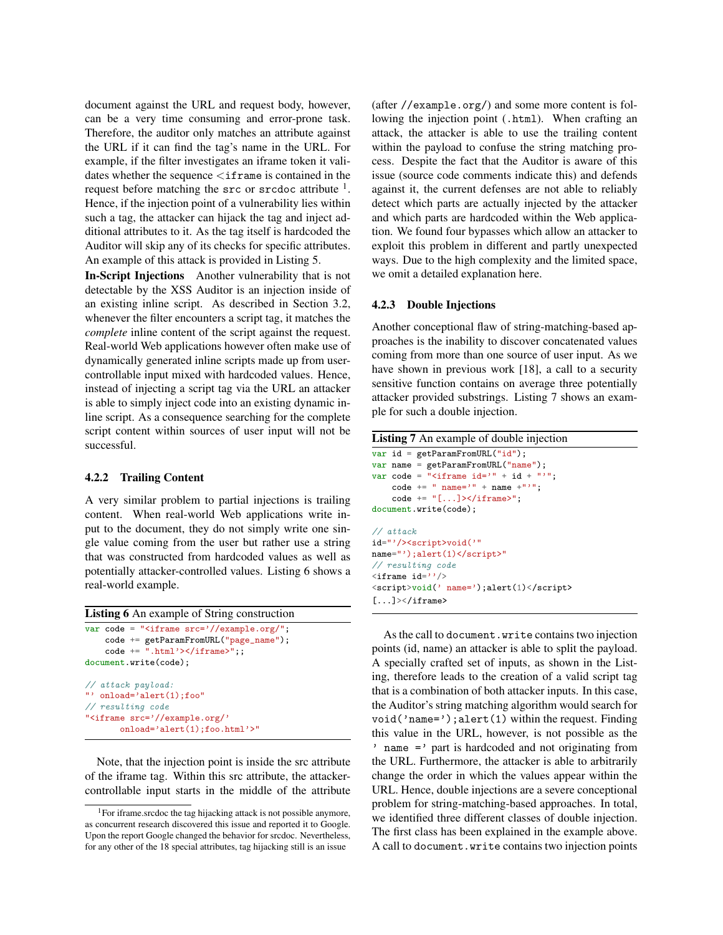document against the URL and request body, however, can be a very time consuming and error-prone task. Therefore, the auditor only matches an attribute against the URL if it can find the tag's name in the URL. For example, if the filter investigates an iframe token it validates whether the sequence  $\langle$  if rame is contained in the request before matching the  $src$  or  $src$  doc attribute  $<sup>1</sup>$ .</sup> Hence, if the injection point of a vulnerability lies within such a tag, the attacker can hijack the tag and inject additional attributes to it. As the tag itself is hardcoded the Auditor will skip any of its checks for specific attributes. An example of this attack is provided in Listing 5.

In-Script Injections Another vulnerability that is not detectable by the XSS Auditor is an injection inside of an existing inline script. As described in Section 3.2, whenever the filter encounters a script tag, it matches the *complete* inline content of the script against the request. Real-world Web applications however often make use of dynamically generated inline scripts made up from usercontrollable input mixed with hardcoded values. Hence, instead of injecting a script tag via the URL an attacker is able to simply inject code into an existing dynamic inline script. As a consequence searching for the complete script content within sources of user input will not be successful.

#### 4.2.2 Trailing Content

A very similar problem to partial injections is trailing content. When real-world Web applications write input to the document, they do not simply write one single value coming from the user but rather use a string that was constructed from hardcoded values as well as potentially attacker-controlled values. Listing 6 shows a real-world example.

```
Listing 6 An example of String construction
var code = "ciframe src=*//example.org/";code += getParamFromURL("page_name");
    code += ".html' > < /iframe > ";;
document.write(code);
// attack payload:
"' onload='alert(1);foo"
// resulting code
"<iframe src='//example.org/'
       onload='alert(1);foo.html'>"
```
Note, that the injection point is inside the src attribute of the iframe tag. Within this src attribute, the attackercontrollable input starts in the middle of the attribute (after //example.org/) and some more content is following the injection point (.html). When crafting an attack, the attacker is able to use the trailing content within the payload to confuse the string matching process. Despite the fact that the Auditor is aware of this issue (source code comments indicate this) and defends against it, the current defenses are not able to reliably detect which parts are actually injected by the attacker and which parts are hardcoded within the Web application. We found four bypasses which allow an attacker to exploit this problem in different and partly unexpected ways. Due to the high complexity and the limited space, we omit a detailed explanation here.

#### 4.2.3 Double Injections

Another conceptional flaw of string-matching-based approaches is the inability to discover concatenated values coming from more than one source of user input. As we have shown in previous work [18], a call to a security sensitive function contains on average three potentially attacker provided substrings. Listing 7 shows an example for such a double injection.

| Listing 7 An example of double injection |  |  |  |
|------------------------------------------|--|--|--|
|------------------------------------------|--|--|--|

```
var id = getParamFromURL("id");
var name = getParamFromURL("name");
var code = "\langleiframe id='" + id + "'";
    code += " name='" + name +"'";
    code += "\[...]>>/ifname>";document.write(code);
// attack
id="'/><script>void('"
name="');alert(1)</script>"
// resulting code
\langleiframe id=''/>
<script>void(' name=');alert(1)</script>
[...] \times / \text{if } \text{rame}
```
As the call to document.write contains two injection points (id, name) an attacker is able to split the payload. A specially crafted set of inputs, as shown in the Listing, therefore leads to the creation of a valid script tag that is a combination of both attacker inputs. In this case, the Auditor's string matching algorithm would search for void('name=');alert(1) within the request. Finding this value in the URL, however, is not possible as the ' name =' part is hardcoded and not originating from the URL. Furthermore, the attacker is able to arbitrarily change the order in which the values appear within the URL. Hence, double injections are a severe conceptional problem for string-matching-based approaches. In total, we identified three different classes of double injection. The first class has been explained in the example above. A call to document.write contains two injection points

<sup>&</sup>lt;sup>1</sup>For iframe.srcdoc the tag hijacking attack is not possible anymore, as concurrent research discovered this issue and reported it to Google. Upon the report Google changed the behavior for srcdoc. Nevertheless, for any other of the 18 special attributes, tag hijacking still is an issue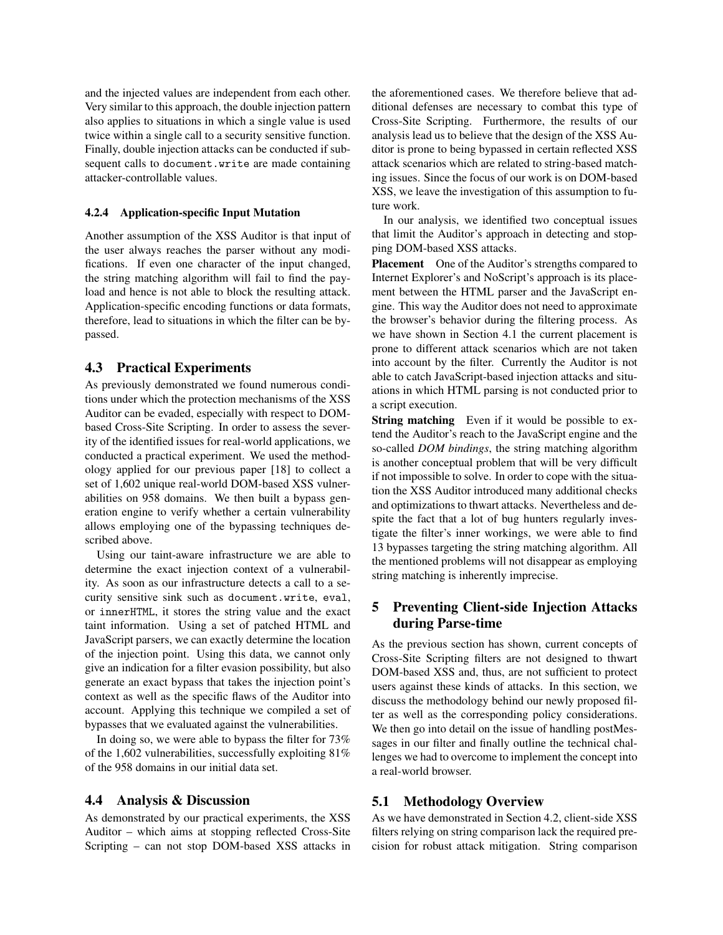and the injected values are independent from each other. Very similar to this approach, the double injection pattern also applies to situations in which a single value is used twice within a single call to a security sensitive function. Finally, double injection attacks can be conducted if subsequent calls to document.write are made containing attacker-controllable values.

#### 4.2.4 Application-specific Input Mutation

Another assumption of the XSS Auditor is that input of the user always reaches the parser without any modifications. If even one character of the input changed, the string matching algorithm will fail to find the payload and hence is not able to block the resulting attack. Application-specific encoding functions or data formats, therefore, lead to situations in which the filter can be bypassed.

### 4.3 Practical Experiments

As previously demonstrated we found numerous conditions under which the protection mechanisms of the XSS Auditor can be evaded, especially with respect to DOMbased Cross-Site Scripting. In order to assess the severity of the identified issues for real-world applications, we conducted a practical experiment. We used the methodology applied for our previous paper [18] to collect a set of 1,602 unique real-world DOM-based XSS vulnerabilities on 958 domains. We then built a bypass generation engine to verify whether a certain vulnerability allows employing one of the bypassing techniques described above.

Using our taint-aware infrastructure we are able to determine the exact injection context of a vulnerability. As soon as our infrastructure detects a call to a security sensitive sink such as document.write, eval, or innerHTML, it stores the string value and the exact taint information. Using a set of patched HTML and JavaScript parsers, we can exactly determine the location of the injection point. Using this data, we cannot only give an indication for a filter evasion possibility, but also generate an exact bypass that takes the injection point's context as well as the specific flaws of the Auditor into account. Applying this technique we compiled a set of bypasses that we evaluated against the vulnerabilities.

In doing so, we were able to bypass the filter for 73% of the 1,602 vulnerabilities, successfully exploiting 81% of the 958 domains in our initial data set.

#### 4.4 Analysis & Discussion

As demonstrated by our practical experiments, the XSS Auditor – which aims at stopping reflected Cross-Site Scripting – can not stop DOM-based XSS attacks in the aforementioned cases. We therefore believe that additional defenses are necessary to combat this type of Cross-Site Scripting. Furthermore, the results of our analysis lead us to believe that the design of the XSS Auditor is prone to being bypassed in certain reflected XSS attack scenarios which are related to string-based matching issues. Since the focus of our work is on DOM-based XSS, we leave the investigation of this assumption to future work.

In our analysis, we identified two conceptual issues that limit the Auditor's approach in detecting and stopping DOM-based XSS attacks.

Placement One of the Auditor's strengths compared to Internet Explorer's and NoScript's approach is its placement between the HTML parser and the JavaScript engine. This way the Auditor does not need to approximate the browser's behavior during the filtering process. As we have shown in Section 4.1 the current placement is prone to different attack scenarios which are not taken into account by the filter. Currently the Auditor is not able to catch JavaScript-based injection attacks and situations in which HTML parsing is not conducted prior to a script execution.

String matching Even if it would be possible to extend the Auditor's reach to the JavaScript engine and the so-called *DOM bindings*, the string matching algorithm is another conceptual problem that will be very difficult if not impossible to solve. In order to cope with the situation the XSS Auditor introduced many additional checks and optimizations to thwart attacks. Nevertheless and despite the fact that a lot of bug hunters regularly investigate the filter's inner workings, we were able to find 13 bypasses targeting the string matching algorithm. All the mentioned problems will not disappear as employing string matching is inherently imprecise.

## 5 Preventing Client-side Injection Attacks during Parse-time

As the previous section has shown, current concepts of Cross-Site Scripting filters are not designed to thwart DOM-based XSS and, thus, are not sufficient to protect users against these kinds of attacks. In this section, we discuss the methodology behind our newly proposed filter as well as the corresponding policy considerations. We then go into detail on the issue of handling postMessages in our filter and finally outline the technical challenges we had to overcome to implement the concept into a real-world browser.

### 5.1 Methodology Overview

As we have demonstrated in Section 4.2, client-side XSS filters relying on string comparison lack the required precision for robust attack mitigation. String comparison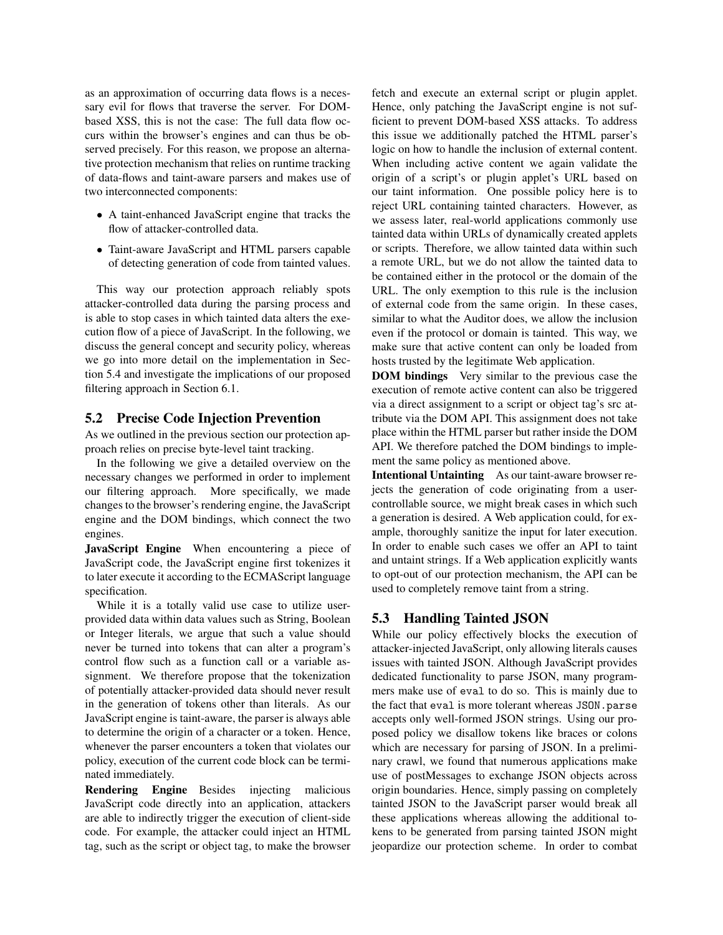as an approximation of occurring data flows is a necessary evil for flows that traverse the server. For DOMbased XSS, this is not the case: The full data flow occurs within the browser's engines and can thus be observed precisely. For this reason, we propose an alternative protection mechanism that relies on runtime tracking of data-flows and taint-aware parsers and makes use of two interconnected components:

- A taint-enhanced JavaScript engine that tracks the flow of attacker-controlled data.
- Taint-aware JavaScript and HTML parsers capable of detecting generation of code from tainted values.

This way our protection approach reliably spots attacker-controlled data during the parsing process and is able to stop cases in which tainted data alters the execution flow of a piece of JavaScript. In the following, we discuss the general concept and security policy, whereas we go into more detail on the implementation in Section 5.4 and investigate the implications of our proposed filtering approach in Section 6.1.

## 5.2 Precise Code Injection Prevention

As we outlined in the previous section our protection approach relies on precise byte-level taint tracking.

In the following we give a detailed overview on the necessary changes we performed in order to implement our filtering approach. More specifically, we made changes to the browser's rendering engine, the JavaScript engine and the DOM bindings, which connect the two engines.

JavaScript Engine When encountering a piece of JavaScript code, the JavaScript engine first tokenizes it to later execute it according to the ECMAScript language specification.

While it is a totally valid use case to utilize userprovided data within data values such as String, Boolean or Integer literals, we argue that such a value should never be turned into tokens that can alter a program's control flow such as a function call or a variable assignment. We therefore propose that the tokenization of potentially attacker-provided data should never result in the generation of tokens other than literals. As our JavaScript engine is taint-aware, the parser is always able to determine the origin of a character or a token. Hence, whenever the parser encounters a token that violates our policy, execution of the current code block can be terminated immediately.

Rendering Engine Besides injecting malicious JavaScript code directly into an application, attackers are able to indirectly trigger the execution of client-side code. For example, the attacker could inject an HTML tag, such as the script or object tag, to make the browser fetch and execute an external script or plugin applet. Hence, only patching the JavaScript engine is not sufficient to prevent DOM-based XSS attacks. To address this issue we additionally patched the HTML parser's logic on how to handle the inclusion of external content. When including active content we again validate the origin of a script's or plugin applet's URL based on our taint information. One possible policy here is to reject URL containing tainted characters. However, as we assess later, real-world applications commonly use tainted data within URLs of dynamically created applets or scripts. Therefore, we allow tainted data within such a remote URL, but we do not allow the tainted data to be contained either in the protocol or the domain of the URL. The only exemption to this rule is the inclusion of external code from the same origin. In these cases, similar to what the Auditor does, we allow the inclusion even if the protocol or domain is tainted. This way, we make sure that active content can only be loaded from hosts trusted by the legitimate Web application.

**DOM bindings** Very similar to the previous case the execution of remote active content can also be triggered via a direct assignment to a script or object tag's src attribute via the DOM API. This assignment does not take place within the HTML parser but rather inside the DOM API. We therefore patched the DOM bindings to implement the same policy as mentioned above.

Intentional Untainting As our taint-aware browser rejects the generation of code originating from a usercontrollable source, we might break cases in which such a generation is desired. A Web application could, for example, thoroughly sanitize the input for later execution. In order to enable such cases we offer an API to taint and untaint strings. If a Web application explicitly wants to opt-out of our protection mechanism, the API can be used to completely remove taint from a string.

# 5.3 Handling Tainted JSON

While our policy effectively blocks the execution of attacker-injected JavaScript, only allowing literals causes issues with tainted JSON. Although JavaScript provides dedicated functionality to parse JSON, many programmers make use of eval to do so. This is mainly due to the fact that eval is more tolerant whereas JSON.parse accepts only well-formed JSON strings. Using our proposed policy we disallow tokens like braces or colons which are necessary for parsing of JSON. In a preliminary crawl, we found that numerous applications make use of postMessages to exchange JSON objects across origin boundaries. Hence, simply passing on completely tainted JSON to the JavaScript parser would break all these applications whereas allowing the additional tokens to be generated from parsing tainted JSON might jeopardize our protection scheme. In order to combat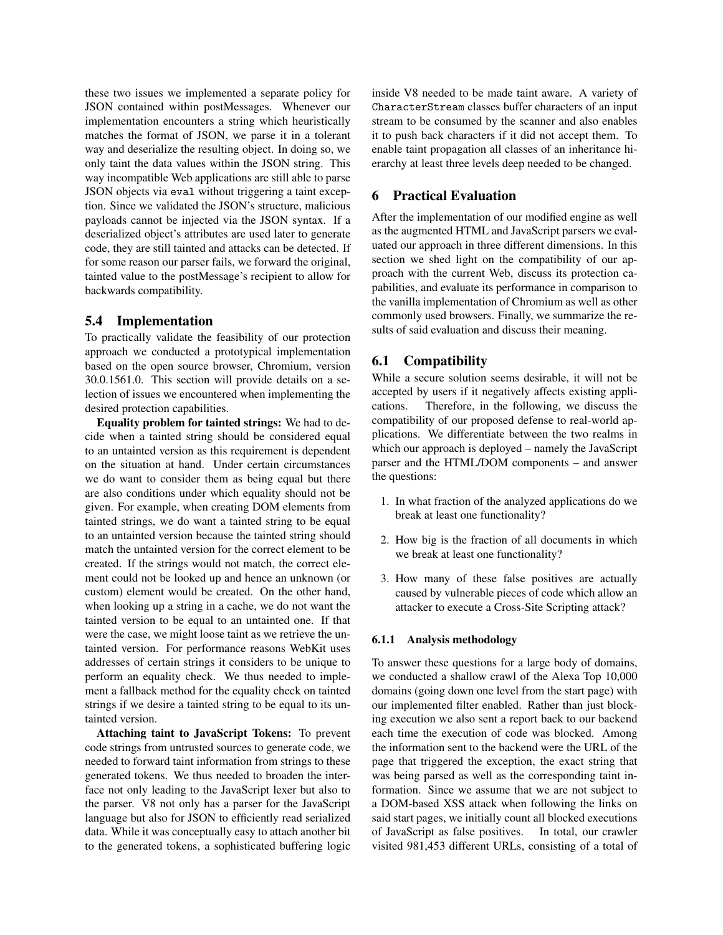these two issues we implemented a separate policy for JSON contained within postMessages. Whenever our implementation encounters a string which heuristically matches the format of JSON, we parse it in a tolerant way and deserialize the resulting object. In doing so, we only taint the data values within the JSON string. This way incompatible Web applications are still able to parse JSON objects via eval without triggering a taint exception. Since we validated the JSON's structure, malicious payloads cannot be injected via the JSON syntax. If a deserialized object's attributes are used later to generate code, they are still tainted and attacks can be detected. If for some reason our parser fails, we forward the original, tainted value to the postMessage's recipient to allow for backwards compatibility.

### 5.4 Implementation

To practically validate the feasibility of our protection approach we conducted a prototypical implementation based on the open source browser, Chromium, version 30.0.1561.0. This section will provide details on a selection of issues we encountered when implementing the desired protection capabilities.

Equality problem for tainted strings: We had to decide when a tainted string should be considered equal to an untainted version as this requirement is dependent on the situation at hand. Under certain circumstances we do want to consider them as being equal but there are also conditions under which equality should not be given. For example, when creating DOM elements from tainted strings, we do want a tainted string to be equal to an untainted version because the tainted string should match the untainted version for the correct element to be created. If the strings would not match, the correct element could not be looked up and hence an unknown (or custom) element would be created. On the other hand, when looking up a string in a cache, we do not want the tainted version to be equal to an untainted one. If that were the case, we might loose taint as we retrieve the untainted version. For performance reasons WebKit uses addresses of certain strings it considers to be unique to perform an equality check. We thus needed to implement a fallback method for the equality check on tainted strings if we desire a tainted string to be equal to its untainted version.

Attaching taint to JavaScript Tokens: To prevent code strings from untrusted sources to generate code, we needed to forward taint information from strings to these generated tokens. We thus needed to broaden the interface not only leading to the JavaScript lexer but also to the parser. V8 not only has a parser for the JavaScript language but also for JSON to efficiently read serialized data. While it was conceptually easy to attach another bit to the generated tokens, a sophisticated buffering logic inside V8 needed to be made taint aware. A variety of CharacterStream classes buffer characters of an input stream to be consumed by the scanner and also enables it to push back characters if it did not accept them. To enable taint propagation all classes of an inheritance hierarchy at least three levels deep needed to be changed.

### 6 Practical Evaluation

After the implementation of our modified engine as well as the augmented HTML and JavaScript parsers we evaluated our approach in three different dimensions. In this section we shed light on the compatibility of our approach with the current Web, discuss its protection capabilities, and evaluate its performance in comparison to the vanilla implementation of Chromium as well as other commonly used browsers. Finally, we summarize the results of said evaluation and discuss their meaning.

## 6.1 Compatibility

While a secure solution seems desirable, it will not be accepted by users if it negatively affects existing applications. Therefore, in the following, we discuss the compatibility of our proposed defense to real-world applications. We differentiate between the two realms in which our approach is deployed – namely the JavaScript parser and the HTML/DOM components – and answer the questions:

- 1. In what fraction of the analyzed applications do we break at least one functionality?
- 2. How big is the fraction of all documents in which we break at least one functionality?
- 3. How many of these false positives are actually caused by vulnerable pieces of code which allow an attacker to execute a Cross-Site Scripting attack?

#### 6.1.1 Analysis methodology

To answer these questions for a large body of domains, we conducted a shallow crawl of the Alexa Top 10,000 domains (going down one level from the start page) with our implemented filter enabled. Rather than just blocking execution we also sent a report back to our backend each time the execution of code was blocked. Among the information sent to the backend were the URL of the page that triggered the exception, the exact string that was being parsed as well as the corresponding taint information. Since we assume that we are not subject to a DOM-based XSS attack when following the links on said start pages, we initially count all blocked executions of JavaScript as false positives. In total, our crawler visited 981,453 different URLs, consisting of a total of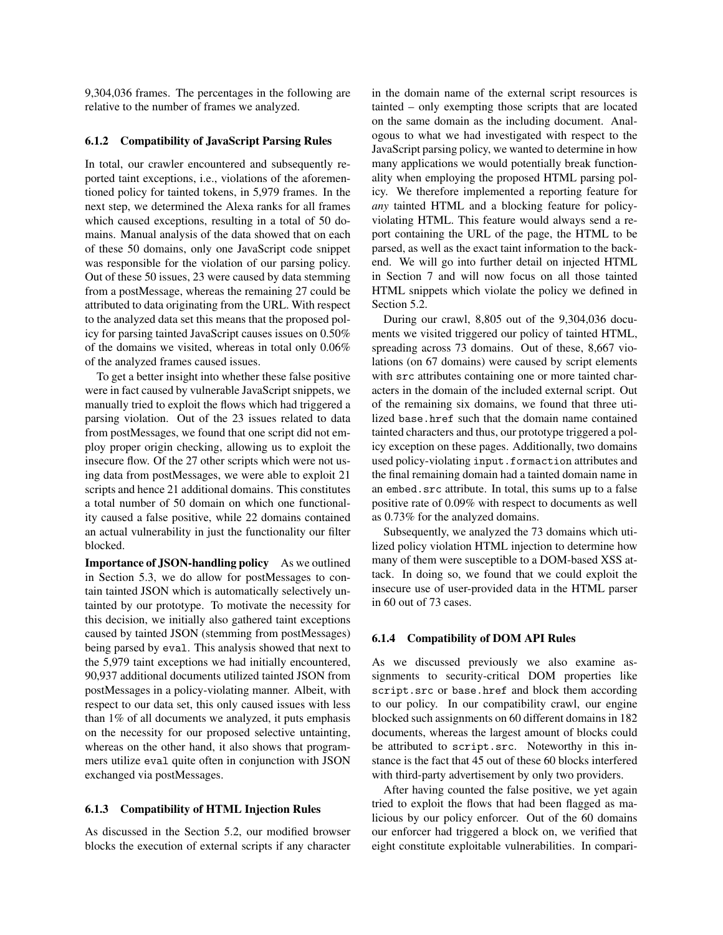9,304,036 frames. The percentages in the following are relative to the number of frames we analyzed.

#### 6.1.2 Compatibility of JavaScript Parsing Rules

In total, our crawler encountered and subsequently reported taint exceptions, i.e., violations of the aforementioned policy for tainted tokens, in 5,979 frames. In the next step, we determined the Alexa ranks for all frames which caused exceptions, resulting in a total of 50 domains. Manual analysis of the data showed that on each of these 50 domains, only one JavaScript code snippet was responsible for the violation of our parsing policy. Out of these 50 issues, 23 were caused by data stemming from a postMessage, whereas the remaining 27 could be attributed to data originating from the URL. With respect to the analyzed data set this means that the proposed policy for parsing tainted JavaScript causes issues on 0.50% of the domains we visited, whereas in total only 0.06% of the analyzed frames caused issues.

To get a better insight into whether these false positive were in fact caused by vulnerable JavaScript snippets, we manually tried to exploit the flows which had triggered a parsing violation. Out of the 23 issues related to data from postMessages, we found that one script did not employ proper origin checking, allowing us to exploit the insecure flow. Of the 27 other scripts which were not using data from postMessages, we were able to exploit 21 scripts and hence 21 additional domains. This constitutes a total number of 50 domain on which one functionality caused a false positive, while 22 domains contained an actual vulnerability in just the functionality our filter blocked.

Importance of JSON-handling policy As we outlined in Section 5.3, we do allow for postMessages to contain tainted JSON which is automatically selectively untainted by our prototype. To motivate the necessity for this decision, we initially also gathered taint exceptions caused by tainted JSON (stemming from postMessages) being parsed by eval. This analysis showed that next to the 5,979 taint exceptions we had initially encountered, 90,937 additional documents utilized tainted JSON from postMessages in a policy-violating manner. Albeit, with respect to our data set, this only caused issues with less than 1% of all documents we analyzed, it puts emphasis on the necessity for our proposed selective untainting, whereas on the other hand, it also shows that programmers utilize eval quite often in conjunction with JSON exchanged via postMessages.

#### 6.1.3 Compatibility of HTML Injection Rules

As discussed in the Section 5.2, our modified browser blocks the execution of external scripts if any character in the domain name of the external script resources is tainted – only exempting those scripts that are located on the same domain as the including document. Analogous to what we had investigated with respect to the JavaScript parsing policy, we wanted to determine in how many applications we would potentially break functionality when employing the proposed HTML parsing policy. We therefore implemented a reporting feature for *any* tainted HTML and a blocking feature for policyviolating HTML. This feature would always send a report containing the URL of the page, the HTML to be parsed, as well as the exact taint information to the backend. We will go into further detail on injected HTML in Section 7 and will now focus on all those tainted HTML snippets which violate the policy we defined in Section 5.2.

During our crawl, 8,805 out of the 9,304,036 documents we visited triggered our policy of tainted HTML, spreading across 73 domains. Out of these, 8,667 violations (on 67 domains) were caused by script elements with src attributes containing one or more tainted characters in the domain of the included external script. Out of the remaining six domains, we found that three utilized base.href such that the domain name contained tainted characters and thus, our prototype triggered a policy exception on these pages. Additionally, two domains used policy-violating input.formaction attributes and the final remaining domain had a tainted domain name in an embed.src attribute. In total, this sums up to a false positive rate of 0.09% with respect to documents as well as 0.73% for the analyzed domains.

Subsequently, we analyzed the 73 domains which utilized policy violation HTML injection to determine how many of them were susceptible to a DOM-based XSS attack. In doing so, we found that we could exploit the insecure use of user-provided data in the HTML parser in 60 out of 73 cases.

#### 6.1.4 Compatibility of DOM API Rules

As we discussed previously we also examine assignments to security-critical DOM properties like script.src or base.href and block them according to our policy. In our compatibility crawl, our engine blocked such assignments on 60 different domains in 182 documents, whereas the largest amount of blocks could be attributed to script.src. Noteworthy in this instance is the fact that 45 out of these 60 blocks interfered with third-party advertisement by only two providers.

After having counted the false positive, we yet again tried to exploit the flows that had been flagged as malicious by our policy enforcer. Out of the 60 domains our enforcer had triggered a block on, we verified that eight constitute exploitable vulnerabilities. In compari-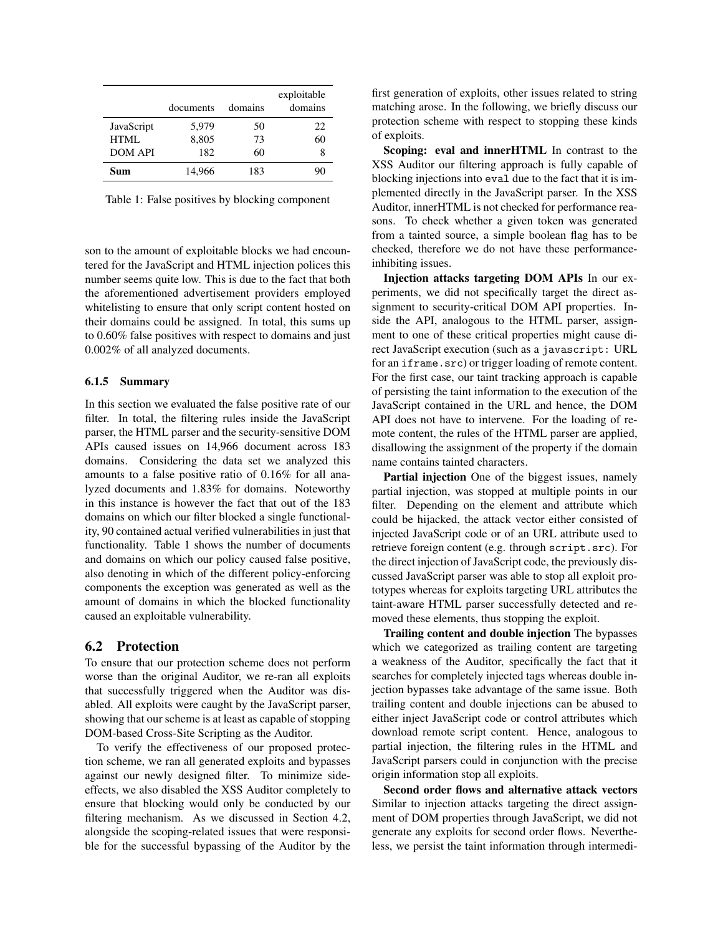|                | documents | domains | exploitable<br>domains |
|----------------|-----------|---------|------------------------|
| JavaScript     | 5,979     | 50      | 22                     |
| HTML           | 8,805     | 73      | 60                     |
| <b>DOM API</b> | 182       | 60      | 8                      |
| Sum            | 14,966    | 183     | 90                     |

Table 1: False positives by blocking component

son to the amount of exploitable blocks we had encountered for the JavaScript and HTML injection polices this number seems quite low. This is due to the fact that both the aforementioned advertisement providers employed whitelisting to ensure that only script content hosted on their domains could be assigned. In total, this sums up to 0.60% false positives with respect to domains and just 0.002% of all analyzed documents.

#### 6.1.5 Summary

In this section we evaluated the false positive rate of our filter. In total, the filtering rules inside the JavaScript parser, the HTML parser and the security-sensitive DOM APIs caused issues on 14,966 document across 183 domains. Considering the data set we analyzed this amounts to a false positive ratio of 0.16% for all analyzed documents and 1.83% for domains. Noteworthy in this instance is however the fact that out of the 183 domains on which our filter blocked a single functionality, 90 contained actual verified vulnerabilities in just that functionality. Table 1 shows the number of documents and domains on which our policy caused false positive, also denoting in which of the different policy-enforcing components the exception was generated as well as the amount of domains in which the blocked functionality caused an exploitable vulnerability.

### 6.2 Protection

To ensure that our protection scheme does not perform worse than the original Auditor, we re-ran all exploits that successfully triggered when the Auditor was disabled. All exploits were caught by the JavaScript parser, showing that our scheme is at least as capable of stopping DOM-based Cross-Site Scripting as the Auditor.

To verify the effectiveness of our proposed protection scheme, we ran all generated exploits and bypasses against our newly designed filter. To minimize sideeffects, we also disabled the XSS Auditor completely to ensure that blocking would only be conducted by our filtering mechanism. As we discussed in Section 4.2, alongside the scoping-related issues that were responsible for the successful bypassing of the Auditor by the first generation of exploits, other issues related to string matching arose. In the following, we briefly discuss our protection scheme with respect to stopping these kinds of exploits.

Scoping: eval and innerHTML In contrast to the XSS Auditor our filtering approach is fully capable of blocking injections into eval due to the fact that it is implemented directly in the JavaScript parser. In the XSS Auditor, innerHTML is not checked for performance reasons. To check whether a given token was generated from a tainted source, a simple boolean flag has to be checked, therefore we do not have these performanceinhibiting issues.

Injection attacks targeting DOM APIs In our experiments, we did not specifically target the direct assignment to security-critical DOM API properties. Inside the API, analogous to the HTML parser, assignment to one of these critical properties might cause direct JavaScript execution (such as a javascript: URL for an iframe.src) or trigger loading of remote content. For the first case, our taint tracking approach is capable of persisting the taint information to the execution of the JavaScript contained in the URL and hence, the DOM API does not have to intervene. For the loading of remote content, the rules of the HTML parser are applied, disallowing the assignment of the property if the domain name contains tainted characters.

Partial injection One of the biggest issues, namely partial injection, was stopped at multiple points in our filter. Depending on the element and attribute which could be hijacked, the attack vector either consisted of injected JavaScript code or of an URL attribute used to retrieve foreign content (e.g. through script.src). For the direct injection of JavaScript code, the previously discussed JavaScript parser was able to stop all exploit prototypes whereas for exploits targeting URL attributes the taint-aware HTML parser successfully detected and removed these elements, thus stopping the exploit.

Trailing content and double injection The bypasses which we categorized as trailing content are targeting a weakness of the Auditor, specifically the fact that it searches for completely injected tags whereas double injection bypasses take advantage of the same issue. Both trailing content and double injections can be abused to either inject JavaScript code or control attributes which download remote script content. Hence, analogous to partial injection, the filtering rules in the HTML and JavaScript parsers could in conjunction with the precise origin information stop all exploits.

Second order flows and alternative attack vectors Similar to injection attacks targeting the direct assignment of DOM properties through JavaScript, we did not generate any exploits for second order flows. Nevertheless, we persist the taint information through intermedi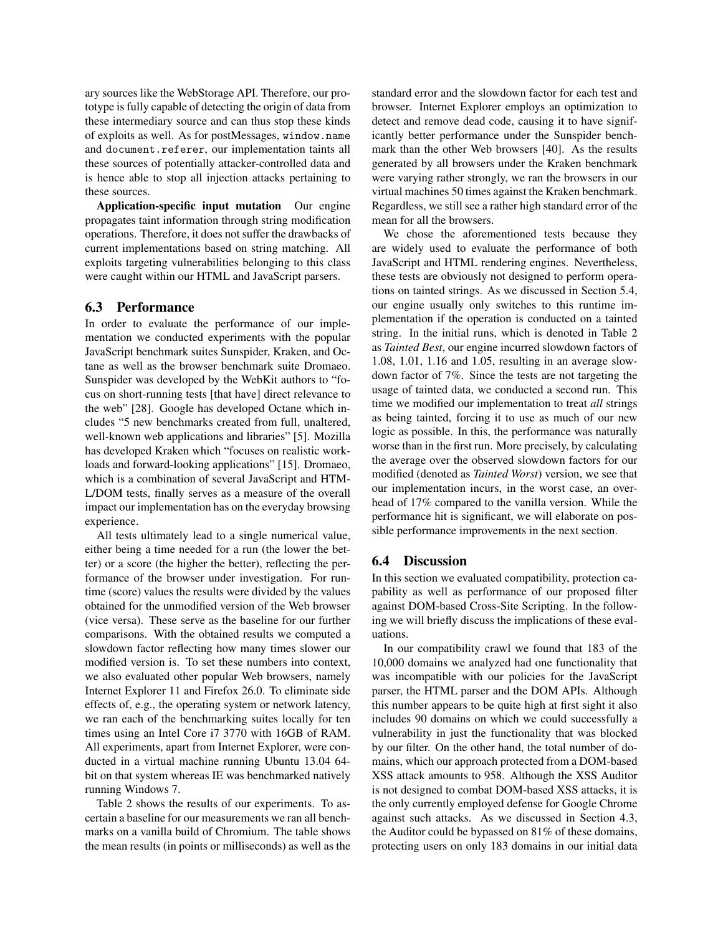ary sources like the WebStorage API. Therefore, our prototype is fully capable of detecting the origin of data from these intermediary source and can thus stop these kinds of exploits as well. As for postMessages, window.name and document.referer, our implementation taints all these sources of potentially attacker-controlled data and is hence able to stop all injection attacks pertaining to these sources.

Application-specific input mutation Our engine propagates taint information through string modification operations. Therefore, it does not suffer the drawbacks of current implementations based on string matching. All exploits targeting vulnerabilities belonging to this class were caught within our HTML and JavaScript parsers.

## 6.3 Performance

In order to evaluate the performance of our implementation we conducted experiments with the popular JavaScript benchmark suites Sunspider, Kraken, and Octane as well as the browser benchmark suite Dromaeo. Sunspider was developed by the WebKit authors to "focus on short-running tests [that have] direct relevance to the web" [28]. Google has developed Octane which includes "5 new benchmarks created from full, unaltered, well-known web applications and libraries" [5]. Mozilla has developed Kraken which "focuses on realistic workloads and forward-looking applications" [15]. Dromaeo, which is a combination of several JavaScript and HTM-L/DOM tests, finally serves as a measure of the overall impact our implementation has on the everyday browsing experience.

All tests ultimately lead to a single numerical value, either being a time needed for a run (the lower the better) or a score (the higher the better), reflecting the performance of the browser under investigation. For runtime (score) values the results were divided by the values obtained for the unmodified version of the Web browser (vice versa). These serve as the baseline for our further comparisons. With the obtained results we computed a slowdown factor reflecting how many times slower our modified version is. To set these numbers into context, we also evaluated other popular Web browsers, namely Internet Explorer 11 and Firefox 26.0. To eliminate side effects of, e.g., the operating system or network latency, we ran each of the benchmarking suites locally for ten times using an Intel Core i7 3770 with 16GB of RAM. All experiments, apart from Internet Explorer, were conducted in a virtual machine running Ubuntu 13.04 64 bit on that system whereas IE was benchmarked natively running Windows 7.

Table 2 shows the results of our experiments. To ascertain a baseline for our measurements we ran all benchmarks on a vanilla build of Chromium. The table shows the mean results (in points or milliseconds) as well as the standard error and the slowdown factor for each test and browser. Internet Explorer employs an optimization to detect and remove dead code, causing it to have significantly better performance under the Sunspider benchmark than the other Web browsers [40]. As the results generated by all browsers under the Kraken benchmark were varying rather strongly, we ran the browsers in our virtual machines 50 times against the Kraken benchmark. Regardless, we still see a rather high standard error of the mean for all the browsers.

We chose the aforementioned tests because they are widely used to evaluate the performance of both JavaScript and HTML rendering engines. Nevertheless, these tests are obviously not designed to perform operations on tainted strings. As we discussed in Section 5.4, our engine usually only switches to this runtime implementation if the operation is conducted on a tainted string. In the initial runs, which is denoted in Table 2 as *Tainted Best*, our engine incurred slowdown factors of 1.08, 1.01, 1.16 and 1.05, resulting in an average slowdown factor of 7%. Since the tests are not targeting the usage of tainted data, we conducted a second run. This time we modified our implementation to treat *all* strings as being tainted, forcing it to use as much of our new logic as possible. In this, the performance was naturally worse than in the first run. More precisely, by calculating the average over the observed slowdown factors for our modified (denoted as *Tainted Worst*) version, we see that our implementation incurs, in the worst case, an overhead of 17% compared to the vanilla version. While the performance hit is significant, we will elaborate on possible performance improvements in the next section.

## 6.4 Discussion

In this section we evaluated compatibility, protection capability as well as performance of our proposed filter against DOM-based Cross-Site Scripting. In the following we will briefly discuss the implications of these evaluations.

In our compatibility crawl we found that 183 of the 10,000 domains we analyzed had one functionality that was incompatible with our policies for the JavaScript parser, the HTML parser and the DOM APIs. Although this number appears to be quite high at first sight it also includes 90 domains on which we could successfully a vulnerability in just the functionality that was blocked by our filter. On the other hand, the total number of domains, which our approach protected from a DOM-based XSS attack amounts to 958. Although the XSS Auditor is not designed to combat DOM-based XSS attacks, it is the only currently employed defense for Google Chrome against such attacks. As we discussed in Section 4.3, the Auditor could be bypassed on 81% of these domains, protecting users on only 183 domains in our initial data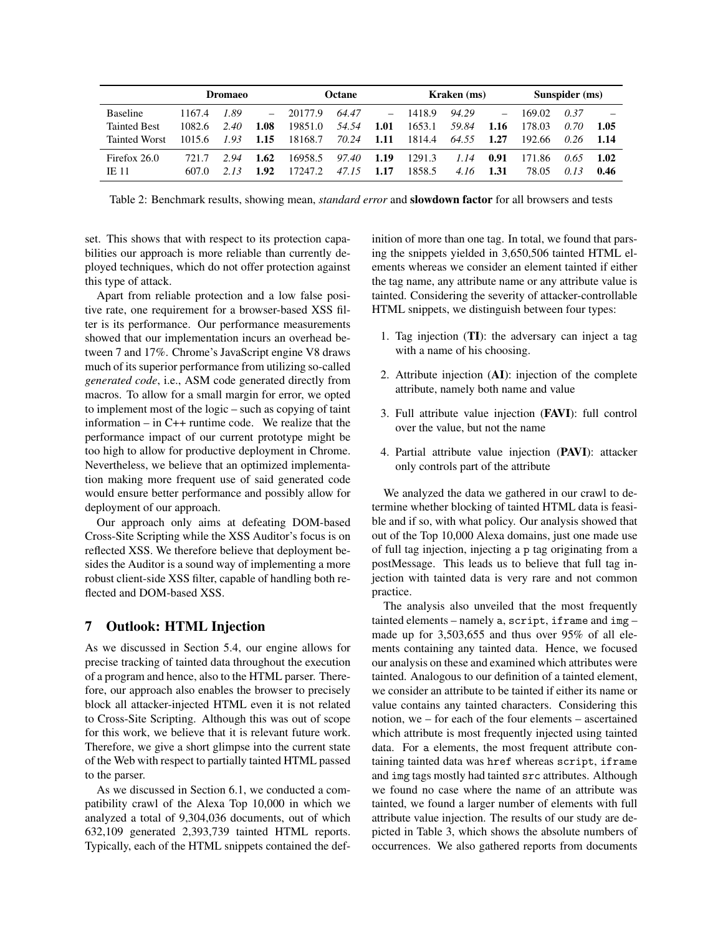|                      |        | <b>Dromaeo</b> |      |         | Octane |          |        | Kraken (ms) |      |        | Sunspider (ms) |       |
|----------------------|--------|----------------|------|---------|--------|----------|--------|-------------|------|--------|----------------|-------|
| <b>Baseline</b>      | 1167.4 | 1.89           | $-$  | 20177.9 | 64.47  | $\equiv$ | 1418.9 | 94.29       |      | 169.02 | 0.37           |       |
| <b>Tainted Best</b>  | 1082.6 | 2.40           | 1.08 | 19851.0 | 54.54  | 1.01     | 1653.1 | 59.84       | 1.16 | 178.03 | 0.70           | 1.05  |
| <b>Tainted Worst</b> | 1015.6 | 1.93           | 1.15 | 18168.7 | 70.24  | 1.11     | 1814.4 | 64.55       | 1.27 | 192.66 | 0.26           | -1.14 |
| Firefox 26.0         | 7217   | 2.94           | 1.62 | 16958.5 | 97.40  | 1.19     | 1291.3 | 1.14        | 0.91 | 171.86 | 0.65           | 1.02  |
| <b>IE 11</b>         | 607.0  |                | 1.92 | 17247.2 | 47.15  | 1.17     | 1858.5 | 4.16        | 1.31 | 78.05  | 0.13           | 0.46  |

Table 2: Benchmark results, showing mean, *standard error* and slowdown factor for all browsers and tests

set. This shows that with respect to its protection capabilities our approach is more reliable than currently deployed techniques, which do not offer protection against this type of attack.

Apart from reliable protection and a low false positive rate, one requirement for a browser-based XSS filter is its performance. Our performance measurements showed that our implementation incurs an overhead between 7 and 17%. Chrome's JavaScript engine V8 draws much of its superior performance from utilizing so-called *generated code*, i.e., ASM code generated directly from macros. To allow for a small margin for error, we opted to implement most of the logic – such as copying of taint information – in C++ runtime code. We realize that the performance impact of our current prototype might be too high to allow for productive deployment in Chrome. Nevertheless, we believe that an optimized implementation making more frequent use of said generated code would ensure better performance and possibly allow for deployment of our approach.

Our approach only aims at defeating DOM-based Cross-Site Scripting while the XSS Auditor's focus is on reflected XSS. We therefore believe that deployment besides the Auditor is a sound way of implementing a more robust client-side XSS filter, capable of handling both reflected and DOM-based XSS.

## 7 Outlook: HTML Injection

As we discussed in Section 5.4, our engine allows for precise tracking of tainted data throughout the execution of a program and hence, also to the HTML parser. Therefore, our approach also enables the browser to precisely block all attacker-injected HTML even it is not related to Cross-Site Scripting. Although this was out of scope for this work, we believe that it is relevant future work. Therefore, we give a short glimpse into the current state of the Web with respect to partially tainted HTML passed to the parser.

As we discussed in Section 6.1, we conducted a compatibility crawl of the Alexa Top 10,000 in which we analyzed a total of 9,304,036 documents, out of which 632,109 generated 2,393,739 tainted HTML reports. Typically, each of the HTML snippets contained the definition of more than one tag. In total, we found that parsing the snippets yielded in 3,650,506 tainted HTML elements whereas we consider an element tainted if either the tag name, any attribute name or any attribute value is tainted. Considering the severity of attacker-controllable HTML snippets, we distinguish between four types:

- 1. Tag injection (TI): the adversary can inject a tag with a name of his choosing.
- 2. Attribute injection (AI): injection of the complete attribute, namely both name and value
- 3. Full attribute value injection (FAVI): full control over the value, but not the name
- 4. Partial attribute value injection (PAVI): attacker only controls part of the attribute

We analyzed the data we gathered in our crawl to determine whether blocking of tainted HTML data is feasible and if so, with what policy. Our analysis showed that out of the Top 10,000 Alexa domains, just one made use of full tag injection, injecting a p tag originating from a postMessage. This leads us to believe that full tag injection with tainted data is very rare and not common practice.

The analysis also unveiled that the most frequently tainted elements – namely a, script, iframe and img – made up for 3,503,655 and thus over 95% of all elements containing any tainted data. Hence, we focused our analysis on these and examined which attributes were tainted. Analogous to our definition of a tainted element, we consider an attribute to be tainted if either its name or value contains any tainted characters. Considering this notion, we – for each of the four elements – ascertained which attribute is most frequently injected using tainted data. For a elements, the most frequent attribute containing tainted data was href whereas script, iframe and img tags mostly had tainted src attributes. Although we found no case where the name of an attribute was tainted, we found a larger number of elements with full attribute value injection. The results of our study are depicted in Table 3, which shows the absolute numbers of occurrences. We also gathered reports from documents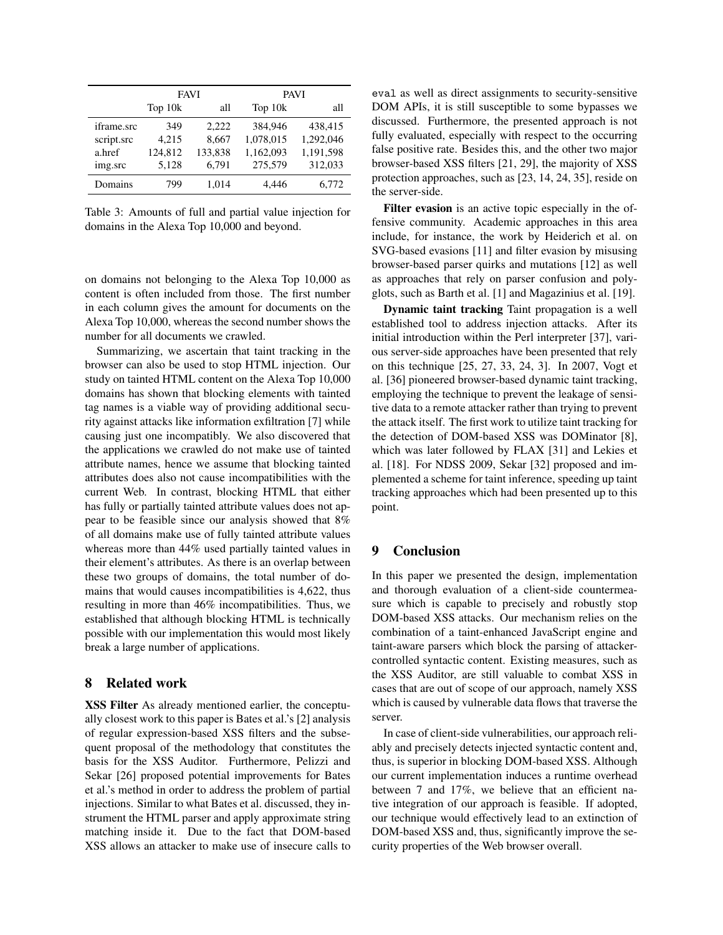|            | <b>FAVI</b> |         | <b>PAVI</b> |           |  |
|------------|-------------|---------|-------------|-----------|--|
|            | Top 10k     | all     | Top 10k     | all       |  |
| iframe.src | 349         | 2.222   | 384.946     | 438,415   |  |
| script.src | 4,215       | 8,667   | 1,078,015   | 1,292,046 |  |
| a href     | 124,812     | 133,838 | 1,162,093   | 1,191,598 |  |
| img.src    | 5,128       | 6,791   | 275,579     | 312,033   |  |
| Domains    | 799         | 1,014   | 4.446       | 6,772     |  |

Table 3: Amounts of full and partial value injection for domains in the Alexa Top 10,000 and beyond.

on domains not belonging to the Alexa Top 10,000 as content is often included from those. The first number in each column gives the amount for documents on the Alexa Top 10,000, whereas the second number shows the number for all documents we crawled.

Summarizing, we ascertain that taint tracking in the browser can also be used to stop HTML injection. Our study on tainted HTML content on the Alexa Top 10,000 domains has shown that blocking elements with tainted tag names is a viable way of providing additional security against attacks like information exfiltration [7] while causing just one incompatibly. We also discovered that the applications we crawled do not make use of tainted attribute names, hence we assume that blocking tainted attributes does also not cause incompatibilities with the current Web. In contrast, blocking HTML that either has fully or partially tainted attribute values does not appear to be feasible since our analysis showed that 8% of all domains make use of fully tainted attribute values whereas more than 44% used partially tainted values in their element's attributes. As there is an overlap between these two groups of domains, the total number of domains that would causes incompatibilities is 4,622, thus resulting in more than 46% incompatibilities. Thus, we established that although blocking HTML is technically possible with our implementation this would most likely break a large number of applications.

### 8 Related work

XSS Filter As already mentioned earlier, the conceptually closest work to this paper is Bates et al.'s [2] analysis of regular expression-based XSS filters and the subsequent proposal of the methodology that constitutes the basis for the XSS Auditor. Furthermore, Pelizzi and Sekar [26] proposed potential improvements for Bates et al.'s method in order to address the problem of partial injections. Similar to what Bates et al. discussed, they instrument the HTML parser and apply approximate string matching inside it. Due to the fact that DOM-based XSS allows an attacker to make use of insecure calls to eval as well as direct assignments to security-sensitive DOM APIs, it is still susceptible to some bypasses we discussed. Furthermore, the presented approach is not fully evaluated, especially with respect to the occurring false positive rate. Besides this, and the other two major browser-based XSS filters [21, 29], the majority of XSS protection approaches, such as [23, 14, 24, 35], reside on the server-side.

Filter evasion is an active topic especially in the offensive community. Academic approaches in this area include, for instance, the work by Heiderich et al. on SVG-based evasions [11] and filter evasion by misusing browser-based parser quirks and mutations [12] as well as approaches that rely on parser confusion and polyglots, such as Barth et al. [1] and Magazinius et al. [19].

Dynamic taint tracking Taint propagation is a well established tool to address injection attacks. After its initial introduction within the Perl interpreter [37], various server-side approaches have been presented that rely on this technique [25, 27, 33, 24, 3]. In 2007, Vogt et al. [36] pioneered browser-based dynamic taint tracking, employing the technique to prevent the leakage of sensitive data to a remote attacker rather than trying to prevent the attack itself. The first work to utilize taint tracking for the detection of DOM-based XSS was DOMinator [8], which was later followed by FLAX [31] and Lekies et al. [18]. For NDSS 2009, Sekar [32] proposed and implemented a scheme for taint inference, speeding up taint tracking approaches which had been presented up to this point.

### 9 Conclusion

In this paper we presented the design, implementation and thorough evaluation of a client-side countermeasure which is capable to precisely and robustly stop DOM-based XSS attacks. Our mechanism relies on the combination of a taint-enhanced JavaScript engine and taint-aware parsers which block the parsing of attackercontrolled syntactic content. Existing measures, such as the XSS Auditor, are still valuable to combat XSS in cases that are out of scope of our approach, namely XSS which is caused by vulnerable data flows that traverse the server.

In case of client-side vulnerabilities, our approach reliably and precisely detects injected syntactic content and, thus, is superior in blocking DOM-based XSS. Although our current implementation induces a runtime overhead between 7 and 17%, we believe that an efficient native integration of our approach is feasible. If adopted, our technique would effectively lead to an extinction of DOM-based XSS and, thus, significantly improve the security properties of the Web browser overall.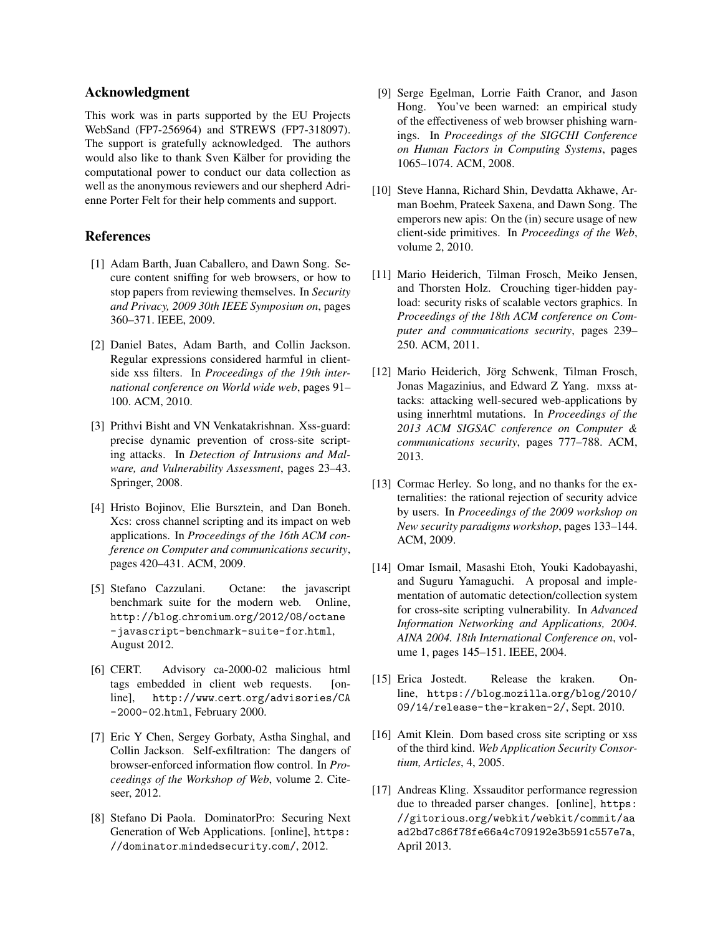### Acknowledgment

This work was in parts supported by the EU Projects WebSand (FP7-256964) and STREWS (FP7-318097). The support is gratefully acknowledged. The authors would also like to thank Sven Kälber for providing the computational power to conduct our data collection as well as the anonymous reviewers and our shepherd Adrienne Porter Felt for their help comments and support.

## References

- [1] Adam Barth, Juan Caballero, and Dawn Song. Secure content sniffing for web browsers, or how to stop papers from reviewing themselves. In *Security and Privacy, 2009 30th IEEE Symposium on*, pages 360–371. IEEE, 2009.
- [2] Daniel Bates, Adam Barth, and Collin Jackson. Regular expressions considered harmful in clientside xss filters. In *Proceedings of the 19th international conference on World wide web*, pages 91– 100. ACM, 2010.
- [3] Prithvi Bisht and VN Venkatakrishnan. Xss-guard: precise dynamic prevention of cross-site scripting attacks. In *Detection of Intrusions and Malware, and Vulnerability Assessment*, pages 23–43. Springer, 2008.
- [4] Hristo Bojinov, Elie Bursztein, and Dan Boneh. Xcs: cross channel scripting and its impact on web applications. In *Proceedings of the 16th ACM conference on Computer and communications security*, pages 420–431. ACM, 2009.
- [5] Stefano Cazzulani. Octane: the javascript benchmark suite for the modern web. Online, http://blog.chromium.org/2012/08/octane -javascript-benchmark-suite-for.html, August 2012.
- [6] CERT. Advisory ca-2000-02 malicious html tags embedded in client web requests. [online], http://www.cert.org/advisories/CA -2000-02.html, February 2000.
- [7] Eric Y Chen, Sergey Gorbaty, Astha Singhal, and Collin Jackson. Self-exfiltration: The dangers of browser-enforced information flow control. In *Proceedings of the Workshop of Web*, volume 2. Citeseer, 2012.
- [8] Stefano Di Paola. DominatorPro: Securing Next Generation of Web Applications. [online], https: //dominator.mindedsecurity.com/, 2012.
- [9] Serge Egelman, Lorrie Faith Cranor, and Jason Hong. You've been warned: an empirical study of the effectiveness of web browser phishing warnings. In *Proceedings of the SIGCHI Conference on Human Factors in Computing Systems*, pages 1065–1074. ACM, 2008.
- [10] Steve Hanna, Richard Shin, Devdatta Akhawe, Arman Boehm, Prateek Saxena, and Dawn Song. The emperors new apis: On the (in) secure usage of new client-side primitives. In *Proceedings of the Web*, volume 2, 2010.
- [11] Mario Heiderich, Tilman Frosch, Meiko Jensen, and Thorsten Holz. Crouching tiger-hidden payload: security risks of scalable vectors graphics. In *Proceedings of the 18th ACM conference on Computer and communications security*, pages 239– 250. ACM, 2011.
- [12] Mario Heiderich, Jörg Schwenk, Tilman Frosch, Jonas Magazinius, and Edward Z Yang. mxss attacks: attacking well-secured web-applications by using innerhtml mutations. In *Proceedings of the 2013 ACM SIGSAC conference on Computer & communications security*, pages 777–788. ACM, 2013.
- [13] Cormac Herley. So long, and no thanks for the externalities: the rational rejection of security advice by users. In *Proceedings of the 2009 workshop on New security paradigms workshop*, pages 133–144. ACM, 2009.
- [14] Omar Ismail, Masashi Etoh, Youki Kadobayashi, and Suguru Yamaguchi. A proposal and implementation of automatic detection/collection system for cross-site scripting vulnerability. In *Advanced Information Networking and Applications, 2004. AINA 2004. 18th International Conference on*, volume 1, pages 145–151. IEEE, 2004.
- [15] Erica Jostedt. Release the kraken. Online, https://blog.mozilla.org/blog/2010/ 09/14/release-the-kraken-2/, Sept. 2010.
- [16] Amit Klein. Dom based cross site scripting or xss of the third kind. *Web Application Security Consortium, Articles*, 4, 2005.
- [17] Andreas Kling. Xssauditor performance regression due to threaded parser changes. [online], https: //gitorious.org/webkit/webkit/commit/aa ad2bd7c86f78fe66a4c709192e3b591c557e7a, April 2013.